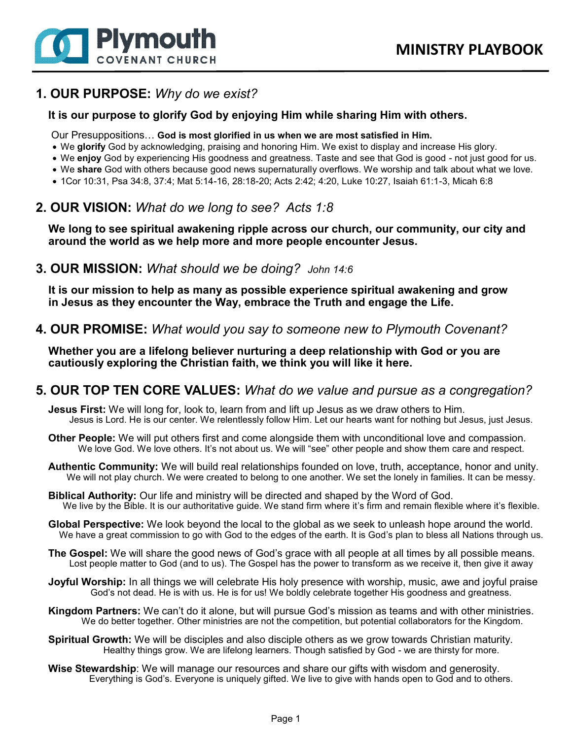

## **1. OUR PURPOSE:** *Why do we exist?*

### **It is our purpose to glorify God by enjoying Him while sharing Him with others.**

Our Presuppositions… **God is most glorified in us when we are most satisfied in Him.**

- We **glorify** God by acknowledging, praising and honoring Him. We exist to display and increase His glory.
- We **enjoy** God by experiencing His goodness and greatness. Taste and see that God is good not just good for us.
- We **share** God with others because good news supernaturally overflows. We worship and talk about what we love.
- 1Cor 10:31, Psa 34:8, 37:4; Mat 5:14-16, 28:18-20; Acts 2:42; 4:20, Luke 10:27, Isaiah 61:1-3, Micah 6:8

# **2. OUR VISION:** *What do we long to see? Acts 1:8*

**We long to see spiritual awakening ripple across our church, our community, our city and around the world as we help more and more people encounter Jesus.**

## **3. OUR MISSION:** *What should we be doing? John 14:6*

**It is our mission to help as many as possible experience spiritual awakening and grow in Jesus as they encounter the Way, embrace the Truth and engage the Life.**

**4. OUR PROMISE:** *What would you say to someone new to Plymouth Covenant?*

**Whether you are a lifelong believer nurturing a deep relationship with God or you are cautiously exploring the Christian faith, we think you will like it here.**

### **5. OUR TOP TEN CORE VALUES:** *What do we value and pursue as a congregation?*

**Jesus First:** We will long for, look to, learn from and lift up Jesus as we draw others to Him. Jesus is Lord. He is our center. We relentlessly follow Him. Let our hearts want for nothing but Jesus, just Jesus.

- **Other People:** We will put others first and come alongside them with unconditional love and compassion. We love God. We love others. It's not about us. We will "see" other people and show them care and respect.
- **Authentic Community:** We will build real relationships founded on love, truth, acceptance, honor and unity. We will not play church. We were created to belong to one another. We set the lonely in families. It can be messy.
- **Biblical Authority:** Our life and ministry will be directed and shaped by the Word of God. We live by the Bible. It is our authoritative guide. We stand firm where it's firm and remain flexible where it's flexible.
- **Global Perspective:** We look beyond the local to the global as we seek to unleash hope around the world. We have a great commission to go with God to the edges of the earth. It is God's plan to bless all Nations through us.
- **The Gospel:** We will share the good news of God's grace with all people at all times by all possible means. Lost people matter to God (and to us). The Gospel has the power to transform as we receive it, then give it away
- **Joyful Worship:** In all things we will celebrate His holy presence with worship, music, awe and joyful praise God's not dead. He is with us. He is for us! We boldly celebrate together His goodness and greatness.
- **Kingdom Partners:** We can't do it alone, but will pursue God's mission as teams and with other ministries. We do better together. Other ministries are not the competition, but potential collaborators for the Kingdom.
- **Spiritual Growth:** We will be disciples and also disciple others as we grow towards Christian maturity. Healthy things grow. We are lifelong learners. Though satisfied by God - we are thirsty for more.
- **Wise Stewardship**: We will manage our resources and share our gifts with wisdom and generosity. Everything is God's. Everyone is uniquely gifted. We live to give with hands open to God and to others.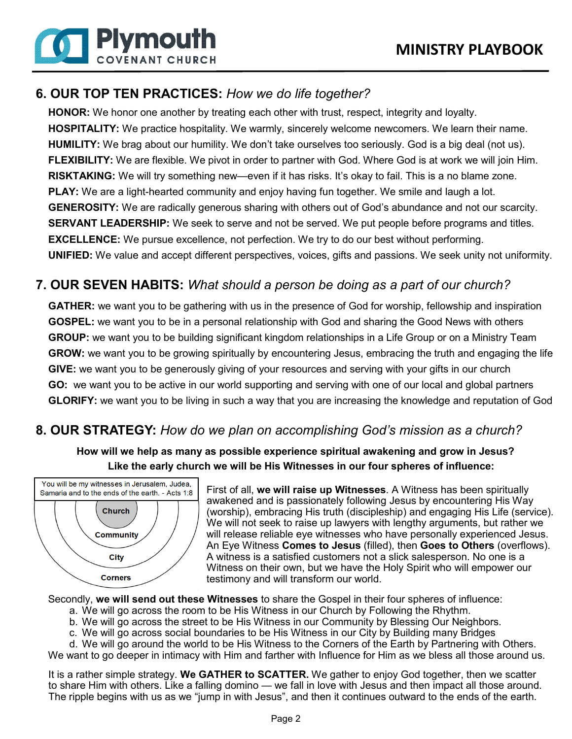

**6 Plymouth** 

**COVENANT CHURCH** 

**HONOR:** We honor one another by treating each other with trust, respect, integrity and loyalty. **HOSPITALITY:** We practice hospitality. We warmly, sincerely welcome newcomers. We learn their name. **HUMILITY:** We brag about our humility. We don't take ourselves too seriously. God is a big deal (not us). **FLEXIBILITY:** We are flexible. We pivot in order to partner with God. Where God is at work we will join Him. **RISKTAKING:** We will try something new—even if it has risks. It's okay to fail. This is a no blame zone. **PLAY:** We are a light-hearted community and enjoy having fun together. We smile and laugh a lot. **GENEROSITY:** We are radically generous sharing with others out of God's abundance and not our scarcity. **SERVANT LEADERSHIP:** We seek to serve and not be served. We put people before programs and titles. **EXCELLENCE:** We pursue excellence, not perfection. We try to do our best without performing. **UNIFIED:** We value and accept different perspectives, voices, gifts and passions. We seek unity not uniformity.

# **7. OUR SEVEN HABITS:** *What should a person be doing as a part of our church?*

**GATHER:** we want you to be gathering with us in the presence of God for worship, fellowship and inspiration **GOSPEL:** we want you to be in a personal relationship with God and sharing the Good News with others **GROUP:** we want you to be building significant kingdom relationships in a Life Group or on a Ministry Team **GROW:** we want you to be growing spiritually by encountering Jesus, embracing the truth and engaging the life **GIVE:** we want you to be generously giving of your resources and serving with your gifts in our church **GO:** we want you to be active in our world supporting and serving with one of our local and global partners **GLORIFY:** we want you to be living in such a way that you are increasing the knowledge and reputation of God

# **8. OUR STRATEGY:** *How do we plan on accomplishing God's mission as a church?*

**How will we help as many as possible experience spiritual awakening and grow in Jesus? Like the early church we will be His Witnesses in our four spheres of influence:**



First of all, **we will raise up Witnesses**. A Witness has been spiritually awakened and is passionately following Jesus by encountering His Way (worship), embracing His truth (discipleship) and engaging His Life (service). We will not seek to raise up lawyers with lengthy arguments, but rather we will release reliable eye witnesses who have personally experienced Jesus. An Eye Witness **Comes to Jesus** (filled), then **Goes to Others** (overflows). A witness is a satisfied customers not a slick salesperson. No one is a Witness on their own, but we have the Holy Spirit who will empower our testimony and will transform our world.

Secondly, **we will send out these Witnesses** to share the Gospel in their four spheres of influence:

- a. We will go across the room to be His Witness in our Church by Following the Rhythm.
	- b. We will go across the street to be His Witness in our Community by Blessing Our Neighbors.
	- c. We will go across social boundaries to be His Witness in our City by Building many Bridges
- d. We will go around the world to be His Witness to the Corners of the Earth by Partnering with Others. We want to go deeper in intimacy with Him and farther with Influence for Him as we bless all those around us.

It is a rather simple strategy. **We GATHER to SCATTER.** We gather to enjoy God together, then we scatter to share Him with others. Like a falling domino — we fall in love with Jesus and then impact all those around. The ripple begins with us as we "jump in with Jesus", and then it continues outward to the ends of the earth.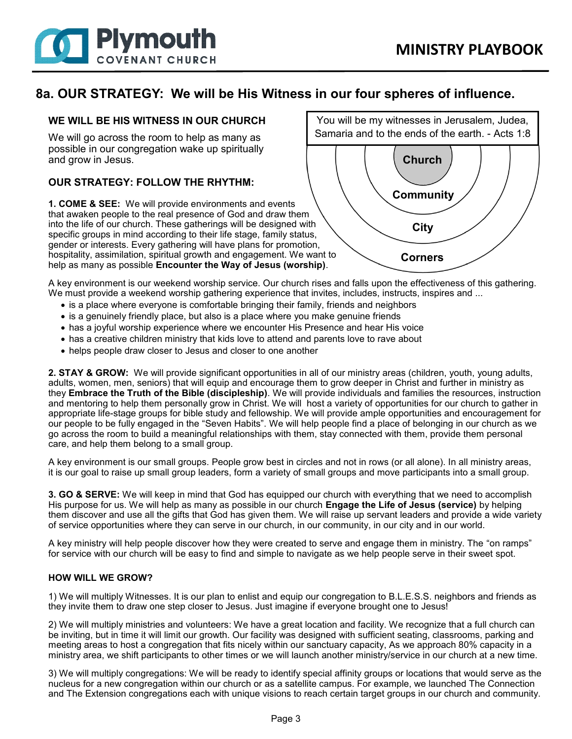

### **8a. OUR STRATEGY: We will be His Witness in our four spheres of influence.**

#### **WE WILL BE HIS WITNESS IN OUR CHURCH**

We will go across the room to help as many as possible in our congregation wake up spiritually and grow in Jesus.

#### **OUR STRATEGY: FOLLOW THE RHYTHM:**

**1. COME & SEE:** We will provide environments and events that awaken people to the real presence of God and draw them into the life of our church. These gatherings will be designed with specific groups in mind according to their life stage, family status, gender or interests. Every gathering will have plans for promotion, hospitality, assimilation, spiritual growth and engagement. We want to help as many as possible **Encounter the Way of Jesus (worship)**.



A key environment is our weekend worship service. Our church rises and falls upon the effectiveness of this gathering. We must provide a weekend worship gathering experience that invites, includes, instructs, inspires and ...

- is a place where everyone is comfortable bringing their family, friends and neighbors
- is a genuinely friendly place, but also is a place where you make genuine friends
- has a joyful worship experience where we encounter His Presence and hear His voice
- has a creative children ministry that kids love to attend and parents love to rave about
- helps people draw closer to Jesus and closer to one another

**2. STAY & GROW:** We will provide significant opportunities in all of our ministry areas (children, youth, young adults, adults, women, men, seniors) that will equip and encourage them to grow deeper in Christ and further in ministry as they **Embrace the Truth of the Bible (discipleship)**. We will provide individuals and families the resources, instruction and mentoring to help them personally grow in Christ. We will host a variety of opportunities for our church to gather in appropriate life-stage groups for bible study and fellowship. We will provide ample opportunities and encouragement for our people to be fully engaged in the "Seven Habits". We will help people find a place of belonging in our church as we go across the room to build a meaningful relationships with them, stay connected with them, provide them personal care, and help them belong to a small group.

A key environment is our small groups. People grow best in circles and not in rows (or all alone). In all ministry areas, it is our goal to raise up small group leaders, form a variety of small groups and move participants into a small group.

**3. GO & SERVE:** We will keep in mind that God has equipped our church with everything that we need to accomplish His purpose for us. We will help as many as possible in our church **Engage the Life of Jesus (service)** by helping them discover and use all the gifts that God has given them. We will raise up servant leaders and provide a wide variety of service opportunities where they can serve in our church, in our community, in our city and in our world.

A key ministry will help people discover how they were created to serve and engage them in ministry. The "on ramps" for service with our church will be easy to find and simple to navigate as we help people serve in their sweet spot.

#### **HOW WILL WE GROW?**

1) We will multiply Witnesses. It is our plan to enlist and equip our congregation to B.L.E.S.S. neighbors and friends as they invite them to draw one step closer to Jesus. Just imagine if everyone brought one to Jesus!

2) We will multiply ministries and volunteers: We have a great location and facility. We recognize that a full church can be inviting, but in time it will limit our growth. Our facility was designed with sufficient seating, classrooms, parking and meeting areas to host a congregation that fits nicely within our sanctuary capacity, As we approach 80% capacity in a ministry area, we shift participants to other times or we will launch another ministry/service in our church at a new time.

3) We will multiply congregations: We will be ready to identify special affinity groups or locations that would serve as the nucleus for a new congregation within our church or as a satellite campus. For example, we launched The Connection and The Extension congregations each with unique visions to reach certain target groups in our church and community.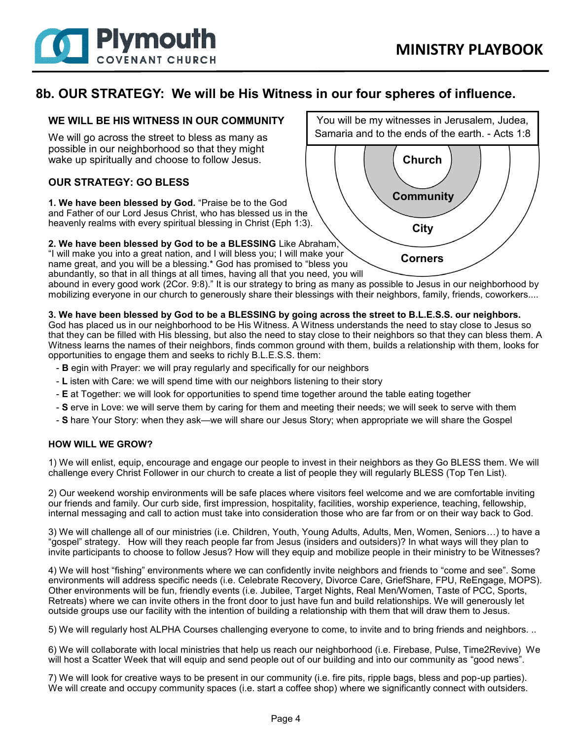

### **8b. OUR STRATEGY: We will be His Witness in our four spheres of influence.**

### **WE WILL BE HIS WITNESS IN OUR COMMUNITY**

We will go across the street to bless as many as possible in our neighborhood so that they might wake up spiritually and choose to follow Jesus.

### **OUR STRATEGY: GO BLESS**

**1. We have been blessed by God.** "Praise be to the God and Father of our Lord Jesus Christ, who has blessed us in the heavenly realms with every spiritual blessing in Christ (Eph 1:3).

#### **2. We have been blessed by God to be a BLESSING** Like Abraham,

"I will make you into a great nation, and I will bless you; I will make your name great, and you will be a blessing.\* God has promised to "bless you abundantly, so that in all things at all times, having all that you need, you will

abound in every good work (2Cor. 9:8)." It is our strategy to bring as many as possible to Jesus in our neighborhood by mobilizing everyone in our church to generously share their blessings with their neighbors, family, friends, coworkers....

#### **3. We have been blessed by God to be a BLESSING by going across the street to B.L.E.S.S. our neighbors.**

God has placed us in our neighborhood to be His Witness. A Witness understands the need to stay close to Jesus so that they can be filled with His blessing, but also the need to stay close to their neighbors so that they can bless them. A Witness learns the names of their neighbors, finds common ground with them, builds a relationship with them, looks for opportunities to engage them and seeks to richly B.L.E.S.S. them:

- **B** egin with Prayer: we will pray regularly and specifically for our neighbors
- **L** isten with Care: we will spend time with our neighbors listening to their story
- **E** at Together: we will look for opportunities to spend time together around the table eating together
- **S** erve in Love: we will serve them by caring for them and meeting their needs; we will seek to serve with them
- **S** hare Your Story: when they ask—we will share our Jesus Story; when appropriate we will share the Gospel

#### **HOW WILL WE GROW?**

1) We will enlist, equip, encourage and engage our people to invest in their neighbors as they Go BLESS them. We will challenge every Christ Follower in our church to create a list of people they will regularly BLESS (Top Ten List).

2) Our weekend worship environments will be safe places where visitors feel welcome and we are comfortable inviting our friends and family. Our curb side, first impression, hospitality, facilities, worship experience, teaching, fellowship, internal messaging and call to action must take into consideration those who are far from or on their way back to God.

3) We will challenge all of our ministries (i.e. Children, Youth, Young Adults, Adults, Men, Women, Seniors…) to have a "gospel" strategy. How will they reach people far from Jesus (insiders and outsiders)? In what ways will they plan to invite participants to choose to follow Jesus? How will they equip and mobilize people in their ministry to be Witnesses?

4) We will host "fishing" environments where we can confidently invite neighbors and friends to "come and see". Some environments will address specific needs (i.e. Celebrate Recovery, Divorce Care, GriefShare, FPU, ReEngage, MOPS). Other environments will be fun, friendly events (i.e. Jubilee, Target Nights, Real Men/Women, Taste of PCC, Sports, Retreats) where we can invite others in the front door to just have fun and build relationships. We will generously let outside groups use our facility with the intention of building a relationship with them that will draw them to Jesus.

5) We will regularly host ALPHA Courses challenging everyone to come, to invite and to bring friends and neighbors. ..

6) We will collaborate with local ministries that help us reach our neighborhood (i.e. Firebase, Pulse, Time2Revive) We will host a Scatter Week that will equip and send people out of our building and into our community as "good news".

7) We will look for creative ways to be present in our community (i.e. fire pits, ripple bags, bless and pop-up parties). We will create and occupy community spaces (i.e. start a coffee shop) where we significantly connect with outsiders.

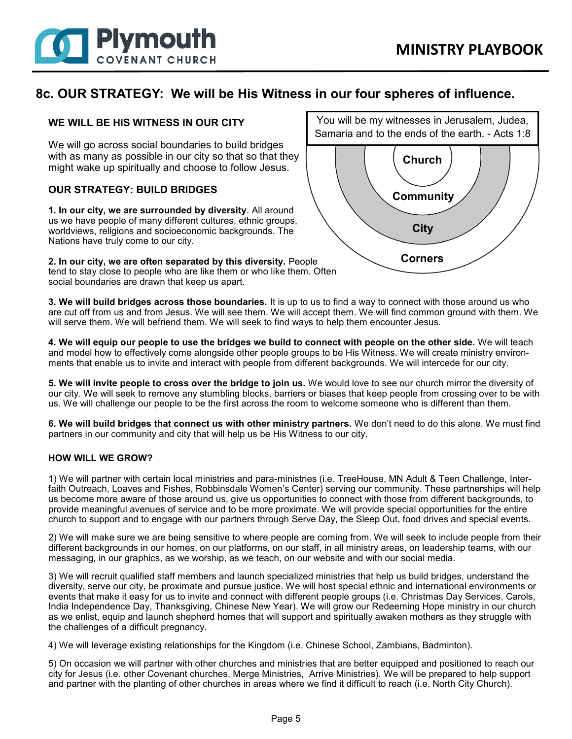

### **8c. OUR STRATEGY: We will be His Witness in our four spheres of influence.**

### **WE WILL BE HIS WITNESS IN OUR CITY**

We will go across social boundaries to build bridges with as many as possible in our city so that so that they might wake up spiritually and choose to follow Jesus.

#### **OUR STRATEGY: BUILD BRIDGES**

**1. In our city, we are surrounded by diversity**. All around us we have people of many different cultures, ethnic groups, worldviews, religions and socioeconomic backgrounds. The Nations have truly come to our city.

**2. In our city, we are often separated by this diversity.** People tend to stay close to people who are like them or who like them. Often social boundaries are drawn that keep us apart.



**3. We will build bridges across those boundaries.** It is up to us to find a way to connect with those around us who are cut off from us and from Jesus. We will see them. We will accept them. We will find common ground with them. We will serve them. We will befriend them. We will seek to find ways to help them encounter Jesus.

**4. We will equip our people to use the bridges we build to connect with people on the other side.** We will teach and model how to effectively come alongside other people groups to be His Witness. We will create ministry environments that enable us to invite and interact with people from different backgrounds. We will intercede for our city.

**5. We will invite people to cross over the bridge to join us.** We would love to see our church mirror the diversity of our city. We will seek to remove any stumbling blocks, barriers or biases that keep people from crossing over to be with us. We will challenge our people to be the first across the room to welcome someone who is different than them.

**6. We will build bridges that connect us with other ministry partners.** We don't need to do this alone. We must find partners in our community and city that will help us be His Witness to our city.

#### **HOW WILL WE GROW?**

1) We will partner with certain local ministries and para-ministries (i.e. TreeHouse, MN Adult & Teen Challenge, Interfaith Outreach, Loaves and Fishes, Robbinsdale Women's Center) serving our community. These partnerships will help us become more aware of those around us, give us opportunities to connect with those from different backgrounds, to provide meaningful avenues of service and to be more proximate. We will provide special opportunities for the entire church to support and to engage with our partners through Serve Day, the Sleep Out, food drives and special events.

2) We will make sure we are being sensitive to where people are coming from. We will seek to include people from their different backgrounds in our homes, on our platforms, on our staff, in all ministry areas, on leadership teams, with our messaging, in our graphics, as we worship, as we teach, on our website and with our social media.

3) We will recruit qualified staff members and launch specialized ministries that help us build bridges, understand the diversity, serve our city, be proximate and pursue justice. We will host special ethnic and international environments or events that make it easy for us to invite and connect with different people groups (i.e. Christmas Day Services, Carols, India Independence Day, Thanksgiving, Chinese New Year). We will grow our Redeeming Hope ministry in our church as we enlist, equip and launch shepherd homes that will support and spiritually awaken mothers as they struggle with the challenges of a difficult pregnancy.

4) We will leverage existing relationships for the Kingdom (i.e. Chinese School, Zambians, Badminton).

5) On occasion we will partner with other churches and ministries that are better equipped and positioned to reach our city for Jesus (i.e. other Covenant churches, Merge Ministries, Arrive Ministries). We will be prepared to help support and partner with the planting of other churches in areas where we find it difficult to reach (i.e. North City Church).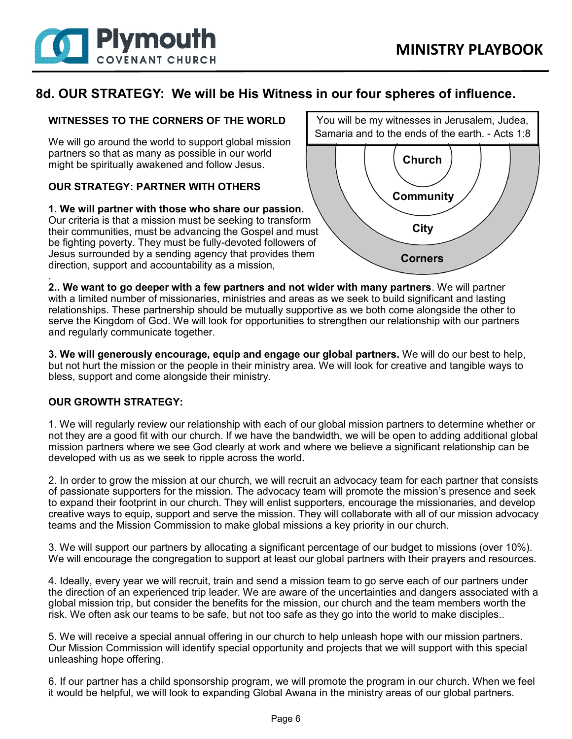

## **8d. OUR STRATEGY: We will be His Witness in our four spheres of influence.**

### **WITNESSES TO THE CORNERS OF THE WORLD**

We will go around the world to support global mission partners so that as many as possible in our world might be spiritually awakened and follow Jesus.

### **OUR STRATEGY: PARTNER WITH OTHERS**

**1. We will partner with those who share our passion.**  Our criteria is that a mission must be seeking to transform their communities, must be advancing the Gospel and must be fighting poverty. They must be fully-devoted followers of Jesus surrounded by a sending agency that provides them direction, support and accountability as a mission,



. **2.. We want to go deeper with a few partners and not wider with many partners**. We will partner with a limited number of missionaries, ministries and areas as we seek to build significant and lasting relationships. These partnership should be mutually supportive as we both come alongside the other to serve the Kingdom of God. We will look for opportunities to strengthen our relationship with our partners and regularly communicate together.

**3. We will generously encourage, equip and engage our global partners.** We will do our best to help, but not hurt the mission or the people in their ministry area. We will look for creative and tangible ways to bless, support and come alongside their ministry.

#### **OUR GROWTH STRATEGY:**

1. We will regularly review our relationship with each of our global mission partners to determine whether or not they are a good fit with our church. If we have the bandwidth, we will be open to adding additional global mission partners where we see God clearly at work and where we believe a significant relationship can be developed with us as we seek to ripple across the world.

2. In order to grow the mission at our church, we will recruit an advocacy team for each partner that consists of passionate supporters for the mission. The advocacy team will promote the mission's presence and seek to expand their footprint in our church. They will enlist supporters, encourage the missionaries, and develop creative ways to equip, support and serve the mission. They will collaborate with all of our mission advocacy teams and the Mission Commission to make global missions a key priority in our church.

3. We will support our partners by allocating a significant percentage of our budget to missions (over 10%). We will encourage the congregation to support at least our global partners with their prayers and resources.

4. Ideally, every year we will recruit, train and send a mission team to go serve each of our partners under the direction of an experienced trip leader. We are aware of the uncertainties and dangers associated with a global mission trip, but consider the benefits for the mission, our church and the team members worth the risk. We often ask our teams to be safe, but not too safe as they go into the world to make disciples..

5. We will receive a special annual offering in our church to help unleash hope with our mission partners. Our Mission Commission will identify special opportunity and projects that we will support with this special unleashing hope offering.

6. If our partner has a child sponsorship program, we will promote the program in our church. When we feel it would be helpful, we will look to expanding Global Awana in the ministry areas of our global partners.